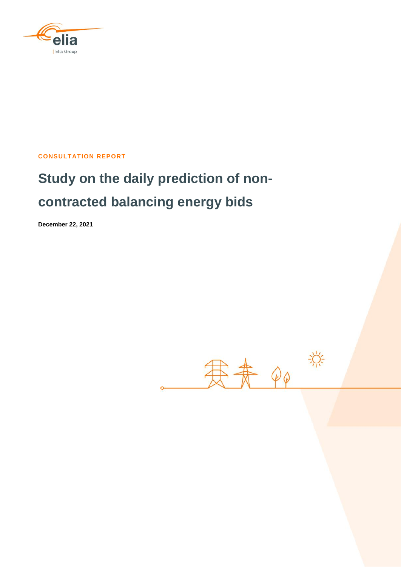

**CONSULTATION REPORT**

# **Study on the daily prediction of noncontracted balancing energy bids**

**December 22, 2021**

寒素。 兴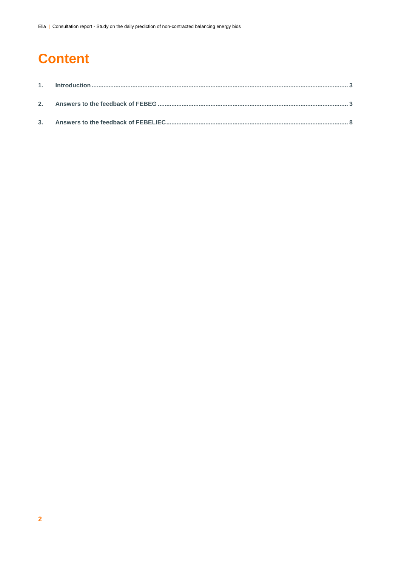## **Content**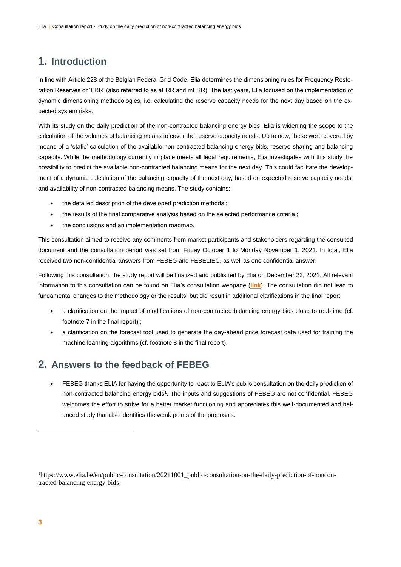## **1. Introduction**

In line with Article 228 of the Belgian Federal Grid Code, Elia determines the dimensioning rules for Frequency Restoration Reserves or 'FRR' (also referred to as aFRR and mFRR). The last years, Elia focused on the implementation of dynamic dimensioning methodologies, i.e. calculating the reserve capacity needs for the next day based on the expected system risks.

With its study on the daily prediction of the non-contracted balancing energy bids, Elia is widening the scope to the calculation of the volumes of balancing means to cover the reserve capacity needs. Up to now, these were covered by means of a 'static' calculation of the available non-contracted balancing energy bids, reserve sharing and balancing capacity. While the methodology currently in place meets all legal requirements, Elia investigates with this study the possibility to predict the available non-contracted balancing means for the next day. This could facilitate the development of a dynamic calculation of the balancing capacity of the next day, based on expected reserve capacity needs, and availability of non-contracted balancing means. The study contains:

- the detailed description of the developed prediction methods ;
- the results of the final comparative analysis based on the selected performance criteria ;
- the conclusions and an implementation roadmap.

This consultation aimed to receive any comments from market participants and stakeholders regarding the consulted document and the consultation period was set from Friday October 1 to Monday November 1, 2021. In total, Elia received two non-confidential answers from FEBEG and FEBELIEC, as well as one confidential answer.

Following this consultation, the study report will be finalized and published by Elia on December 23, 2021. All relevant information to this consultation can be found on Elia's consultation webpage (**[link](https://www.elia.be/en/public-consultation/20211001_public-consultation-on-the-daily-prediction-of-non-contracted-balancing-energy-bids)**). The consultation did not lead to fundamental changes to the methodology or the results, but did result in additional clarifications in the final report.

- a clarification on the impact of modifications of non-contracted balancing energy bids close to real-time (cf. footnote 7 in the final report) ;
- a clarification on the forecast tool used to generate the day-ahead price forecast data used for training the machine learning algorithms (cf. footnote 8 in the final report).

#### **2. Answers to the feedback of FEBEG**

 FEBEG thanks ELIA for having the opportunity to react to ELIA's public consultation on the daily prediction of non-contracted balancing energy bids<sup>1</sup>. The inputs and suggestions of FEBEG are not confidential. FEBEG welcomes the effort to strive for a better market functioning and appreciates this well-documented and balanced study that also identifies the weak points of the proposals.

-

<sup>&</sup>lt;sup>1</sup>https://www.elia.be/en/public-consultation/20211001\_public-consultation-on-the-daily-prediction-of-noncontracted-balancing-energy-bids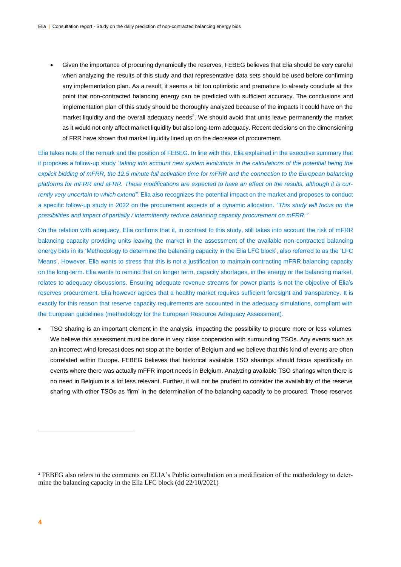Given the importance of procuring dynamically the reserves, FEBEG believes that Elia should be very careful when analyzing the results of this study and that representative data sets should be used before confirming any implementation plan. As a result, it seems a bit too optimistic and premature to already conclude at this point that non-contracted balancing energy can be predicted with sufficient accuracy. The conclusions and implementation plan of this study should be thoroughly analyzed because of the impacts it could have on the market liquidity and the overall adequacy needs<sup>2</sup>. We should avoid that units leave permanently the market as it would not only affect market liquidity but also long-term adequacy. Recent decisions on the dimensioning of FRR have shown that market liquidity lined up on the decrease of procurement.

Elia takes note of the remark and the position of FEBEG. In line with this, Elia explained in the executive summary that it proposes a follow-up study "*taking into account new system evolutions in the calculations of the potential being the explicit bidding of mFRR, the 12.5 minute full activation time for mFRR and the connection to the European balancing platforms for mFRR and aFRR. These modifications are expected to have an effect on the results, although it is currently very uncertain to which extend".* Elia also recognizes the potential impact on the market and proposes to conduct a specific follow-up study in 2022 on the procurement aspects of a dynamic allocation. "*This study will focus on the possibilities and impact of partially / intermittently reduce balancing capacity procurement on mFRR."*

On the relation with adequacy, Elia confirms that it, in contrast to this study, still takes into account the risk of mFRR balancing capacity providing units leaving the market in the assessment of the available non-contracted balancing energy bids in its 'Methodology to determine the balancing capacity in the Elia LFC block', also referred to as the 'LFC Means'. However, Elia wants to stress that this is not a justification to maintain contracting mFRR balancing capacity on the long-term. Elia wants to remind that on longer term, capacity shortages, in the energy or the balancing market, relates to adequacy discussions. Ensuring adequate revenue streams for power plants is not the objective of Elia's reserves procurement. Elia however agrees that a healthy market requires sufficient foresight and transparency. It is exactly for this reason that reserve capacity requirements are accounted in the adequacy simulations, compliant with the European guidelines (methodology for the European Resource Adequacy Assessment).

 TSO sharing is an important element in the analysis, impacting the possibility to procure more or less volumes. We believe this assessment must be done in very close cooperation with surrounding TSOs. Any events such as an incorrect wind forecast does not stop at the border of Belgium and we believe that this kind of events are often correlated within Europe. FEBEG believes that historical available TSO sharings should focus specifically on events where there was actually mFFR import needs in Belgium. Analyzing available TSO sharings when there is no need in Belgium is a lot less relevant. Further, it will not be prudent to consider the availability of the reserve sharing with other TSOs as 'firm' in the determination of the balancing capacity to be procured. These reserves

-

<sup>&</sup>lt;sup>2</sup> FEBEG also refers to the comments on ELIA's Public consultation on a modification of the methodology to determine the balancing capacity in the Elia LFC block (dd 22/10/2021)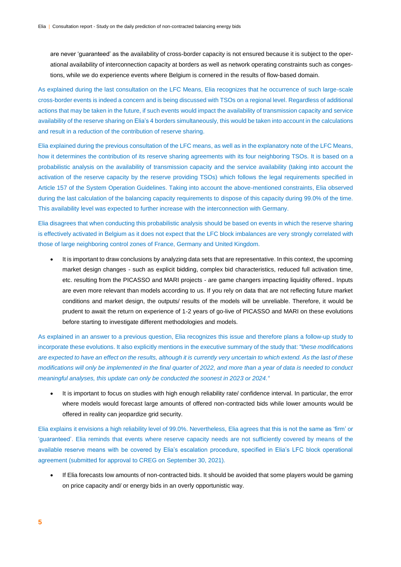are never 'guaranteed' as the availability of cross-border capacity is not ensured because it is subject to the operational availability of interconnection capacity at borders as well as network operating constraints such as congestions, while we do experience events where Belgium is cornered in the results of flow-based domain.

As explained during the last consultation on the LFC Means, Elia recognizes that he occurrence of such large-scale cross-border events is indeed a concern and is being discussed with TSOs on a regional level. Regardless of additional actions that may be taken in the future, if such events would impact the availability of transmission capacity and service availability of the reserve sharing on Elia's 4 borders simultaneously, this would be taken into account in the calculations and result in a reduction of the contribution of reserve sharing.

Elia explained during the previous consultation of the LFC means, as well as in the explanatory note of the LFC Means, how it determines the contribution of its reserve sharing agreements with its four neighboring TSOs. It is based on a probabilistic analysis on the availability of transmission capacity and the service availability (taking into account the activation of the reserve capacity by the reserve providing TSOs) which follows the legal requirements specified in Article 157 of the System Operation Guidelines. Taking into account the above-mentioned constraints, Elia observed during the last calculation of the balancing capacity requirements to dispose of this capacity during 99.0% of the time. This availability level was expected to further increase with the interconnection with Germany.

Elia disagrees that when conducting this probabilistic analysis should be based on events in which the reserve sharing is effectively activated in Belgium as it does not expect that the LFC block imbalances are very strongly correlated with those of large neighboring control zones of France, Germany and United Kingdom.

 It is important to draw conclusions by analyzing data sets that are representative. In this context, the upcoming market design changes - such as explicit bidding, complex bid characteristics, reduced full activation time, etc. resulting from the PICASSO and MARI projects - are game changers impacting liquidity offered.. Inputs are even more relevant than models according to us. If you rely on data that are not reflecting future market conditions and market design, the outputs/ results of the models will be unreliable. Therefore, it would be prudent to await the return on experience of 1-2 years of go-live of PICASSO and MARI on these evolutions before starting to investigate different methodologies and models.

As explained in an answer to a previous question, Elia recognizes this issue and therefore plans a follow-up study to incorporate these evolutions. It also explicitly mentions in the executive summary of the study that: "t*hese modifications are expected to have an effect on the results, although it is currently very uncertain to which extend. As the last of these modifications will only be implemented in the final quarter of 2022, and more than a year of data is needed to conduct meaningful analyses, this update can only be conducted the soonest in 2023 or 2024."*

 It is important to focus on studies with high enough reliability rate/ confidence interval. In particular, the error where models would forecast large amounts of offered non-contracted bids while lower amounts would be offered in reality can jeopardize grid security.

Elia explains it envisions a high reliability level of 99.0%. Nevertheless, Elia agrees that this is not the same as 'firm' or 'guaranteed'. Elia reminds that events where reserve capacity needs are not sufficiently covered by means of the available reserve means with be covered by Elia's escalation procedure, specified in Elia's LFC block operational agreement (submitted for approval to CREG on September 30, 2021).

 If Elia forecasts low amounts of non-contracted bids. It should be avoided that some players would be gaming on price capacity and/ or energy bids in an overly opportunistic way.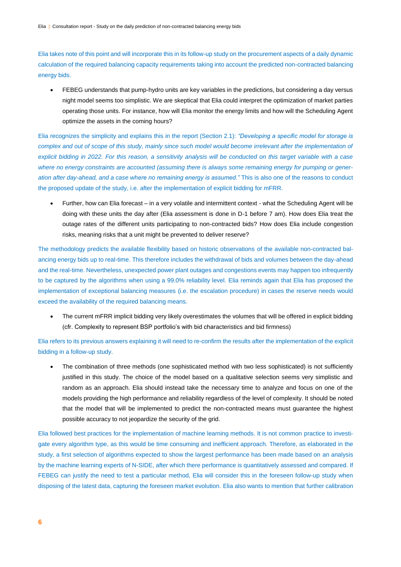Elia takes note of this point and will incorporate this in its follow-up study on the procurement aspects of a daily dynamic calculation of the required balancing capacity requirements taking into account the predicted non-contracted balancing energy bids.

 FEBEG understands that pump-hydro units are key variables in the predictions, but considering a day versus night model seems too simplistic. We are skeptical that Elia could interpret the optimization of market parties operating those units. For instance, how will Elia monitor the energy limits and how will the Scheduling Agent optimize the assets in the coming hours?

Elia recognizes the simplicity and explains this in the report (Section 2.1): *"Developing a specific model for storage is*  complex and out of scope of this study, mainly since such model would become irrelevant after the implementation of *explicit bidding in 2022. For this reason, a sensitivity analysis will be conducted on this target variable with a case where no energy constraints are accounted (assuming there is always some remaining energy for pumping or generation after day-ahead, and a case where no remaining energy is assumed."* This is also one of the reasons to conduct the proposed update of the study, i.e. after the implementation of explicit bidding for mFRR.

 Further, how can Elia forecast – in a very volatile and intermittent context - what the Scheduling Agent will be doing with these units the day after (Elia assessment is done in D-1 before 7 am). How does Elia treat the outage rates of the different units participating to non-contracted bids? How does Elia include congestion risks, meaning risks that a unit might be prevented to deliver reserve?

The methodology predicts the available flexibility based on historic observations of the available non-contracted balancing energy bids up to real-time. This therefore includes the withdrawal of bids and volumes between the day-ahead and the real-time. Nevertheless, unexpected power plant outages and congestions events may happen too infrequently to be captured by the algorithms when using a 99.0% reliability level. Elia reminds again that Elia has proposed the implementation of exceptional balancing measures (i.e. the escalation procedure) in cases the reserve needs would exceed the availability of the required balancing means.

 The current mFRR implicit bidding very likely overestimates the volumes that will be offered in explicit bidding (cfr. Complexity to represent BSP portfolio's with bid characteristics and bid firmness)

Elia refers to its previous answers explaining it will need to re-confirm the results after the implementation of the explicit bidding in a follow-up study.

• The combination of three methods (one sophisticated method with two less sophisticated) is not sufficiently justified in this study. The choice of the model based on a qualitative selection seems very simplistic and random as an approach. Elia should instead take the necessary time to analyze and focus on one of the models providing the high performance and reliability regardless of the level of complexity. It should be noted that the model that will be implemented to predict the non-contracted means must guarantee the highest possible accuracy to not jeopardize the security of the grid.

Elia followed best practices for the implementation of machine learning methods. It is not common practice to investigate every algorithm type, as this would be time consuming and inefficient approach. Therefore, as elaborated in the study, a first selection of algorithms expected to show the largest performance has been made based on an analysis by the machine learning experts of N-SIDE, after which there performance is quantitatively assessed and compared. If FEBEG can justify the need to test a particular method, Elia will consider this in the foreseen follow-up study when disposing of the latest data, capturing the foreseen market evolution. Elia also wants to mention that further calibration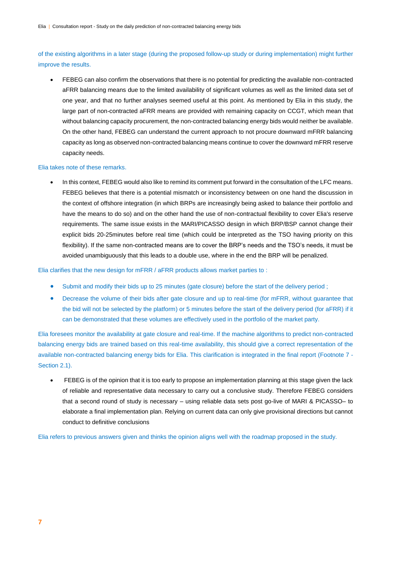of the existing algorithms in a later stage (during the proposed follow-up study or during implementation) might further improve the results.

 FEBEG can also confirm the observations that there is no potential for predicting the available non-contracted aFRR balancing means due to the limited availability of significant volumes as well as the limited data set of one year, and that no further analyses seemed useful at this point. As mentioned by Elia in this study, the large part of non-contracted aFRR means are provided with remaining capacity on CCGT, which mean that without balancing capacity procurement, the non-contracted balancing energy bids would neither be available. On the other hand, FEBEG can understand the current approach to not procure downward mFRR balancing capacity as long as observed non-contracted balancing means continue to cover the downward mFRR reserve capacity needs.

#### Elia takes note of these remarks.

• In this context, FEBEG would also like to remind its comment put forward in the consultation of the LFC means. FEBEG believes that there is a potential mismatch or inconsistency between on one hand the discussion in the context of offshore integration (in which BRPs are increasingly being asked to balance their portfolio and have the means to do so) and on the other hand the use of non-contractual flexibility to cover Elia's reserve requirements. The same issue exists in the MARI/PICASSO design in which BRP/BSP cannot change their explicit bids 20-25minutes before real time (which could be interpreted as the TSO having priority on this flexibility). If the same non-contracted means are to cover the BRP's needs and the TSO's needs, it must be avoided unambiguously that this leads to a double use, where in the end the BRP will be penalized.

Elia clarifies that the new design for mFRR / aFRR products allows market parties to :

- Submit and modify their bids up to 25 minutes (gate closure) before the start of the delivery period ;
- Decrease the volume of their bids after gate closure and up to real-time (for mFRR, without guarantee that the bid will not be selected by the platform) or 5 minutes before the start of the delivery period (for aFRR) if it can be demonstrated that these volumes are effectively used in the portfolio of the market party.

Elia foresees monitor the availability at gate closure and real-time. If the machine algorithms to predict non-contracted balancing energy bids are trained based on this real-time availability, this should give a correct representation of the available non-contracted balancing energy bids for Elia. This clarification is integrated in the final report (Footnote 7 - Section 2.1).

 FEBEG is of the opinion that it is too early to propose an implementation planning at this stage given the lack of reliable and representative data necessary to carry out a conclusive study. Therefore FEBEG considers that a second round of study is necessary – using reliable data sets post go-live of MARI & PICASSO– to elaborate a final implementation plan. Relying on current data can only give provisional directions but cannot conduct to definitive conclusions

Elia refers to previous answers given and thinks the opinion aligns well with the roadmap proposed in the study.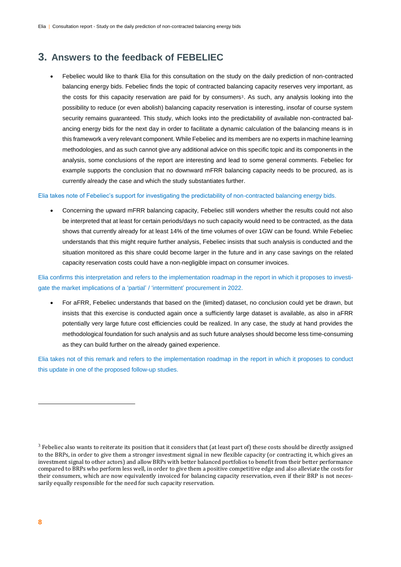### **3. Answers to the feedback of FEBELIEC**

 Febeliec would like to thank Elia for this consultation on the study on the daily prediction of non-contracted balancing energy bids. Febeliec finds the topic of contracted balancing capacity reserves very important, as the costs for this capacity reservation are paid for by consumers<sup>3</sup>. As such, any analysis looking into the possibility to reduce (or even abolish) balancing capacity reservation is interesting, insofar of course system security remains guaranteed. This study, which looks into the predictability of available non-contracted balancing energy bids for the next day in order to facilitate a dynamic calculation of the balancing means is in this framework a very relevant component. While Febeliec and its members are no experts in machine learning methodologies, and as such cannot give any additional advice on this specific topic and its components in the analysis, some conclusions of the report are interesting and lead to some general comments. Febeliec for example supports the conclusion that no downward mFRR balancing capacity needs to be procured, as is currently already the case and which the study substantiates further.

#### Elia takes note of Febeliec's support for investigating the predictability of non-contracted balancing energy bids.

 Concerning the upward mFRR balancing capacity, Febeliec still wonders whether the results could not also be interpreted that at least for certain periods/days no such capacity would need to be contracted, as the data shows that currently already for at least 14% of the time volumes of over 1GW can be found. While Febeliec understands that this might require further analysis, Febeliec insists that such analysis is conducted and the situation monitored as this share could become larger in the future and in any case savings on the related capacity reservation costs could have a non-negligible impact on consumer invoices.

Elia confirms this interpretation and refers to the implementation roadmap in the report in which it proposes to investigate the market implications of a 'partial' / 'intermittent' procurement in 2022.

 For aFRR, Febeliec understands that based on the (limited) dataset, no conclusion could yet be drawn, but insists that this exercise is conducted again once a sufficiently large dataset is available, as also in aFRR potentially very large future cost efficiencies could be realized. In any case, the study at hand provides the methodological foundation for such analysis and as such future analyses should become less time-consuming as they can build further on the already gained experience.

Elia takes not of this remark and refers to the implementation roadmap in the report in which it proposes to conduct this update in one of the proposed follow-up studies.

-

 $3$  Febeliec also wants to reiterate its position that it considers that (at least part of) these costs should be directly assigned to the BRPs, in order to give them a stronger investment signal in new flexible capacity (or contracting it, which gives an investment signal to other actors) and allow BRPs with better balanced portfolios to benefit from their better performance compared to BRPs who perform less well, in order to give them a positive competitive edge and also alleviate the costs for their consumers, which are now equivalently invoiced for balancing capacity reservation, even if their BRP is not necessarily equally responsible for the need for such capacity reservation.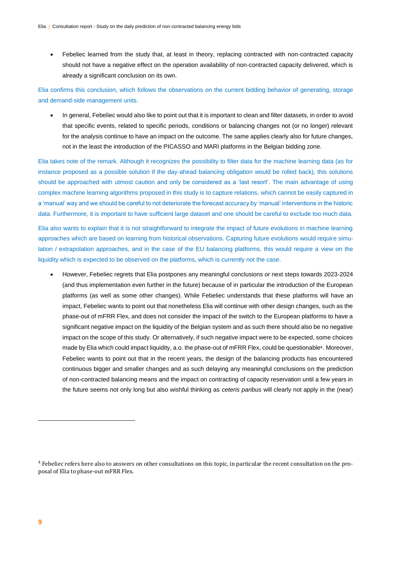Febeliec learned from the study that, at least in theory, replacing contracted with non-contracted capacity should not have a negative effect on the operation availability of non-contracted capacity delivered, which is already a significant conclusion on its own.

Elia confirms this conclusion, which follows the observations on the current bidding behavior of generating, storage and demand-side management units.

 In general, Febeliec would also like to point out that it is important to clean and filter datasets, in order to avoid that specific events, related to specific periods, conditions or balancing changes not (or no longer) relevant for the analysis continue to have an impact on the outcome. The same applies clearly also for future changes, not in the least the introduction of the PICASSO and MARI platforms in the Belgian bidding zone.

Elia takes note of the remark. Although it recognizes the possibility to filter data for the machine learning data (as for instance proposed as a possible solution if the day-ahead balancing obligation would be rolled back), this solutions should be approached with utmost caution and only be considered as a 'last resort'. The main advantage of using complex machine learning algorithms proposed in this study is to capture relations, which cannot be easily captured in a 'manual' way and we should be careful to not deteriorate the forecast accuracy by 'manual' interventions in the historic data. Furthermore, it is important to have sufficient large dataset and one should be careful to exclude too much data.

Elia also wants to explain that it is not straightforward to integrate the impact of future evolutions in machine learning approaches which are based on learning from historical observations. Capturing future evolutions would require simulation / extrapolation approaches, and in the case of the EU balancing platforms, this would require a view on the liquidity which is expected to be observed on the platforms, which is currently not the case.

 However, Febeliec regrets that Elia postpones any meaningful conclusions or next steps towards 2023-2024 (and thus implementation even further in the future) because of in particular the introduction of the European platforms (as well as some other changes). While Febeliec understands that these platforms will have an impact, Febeliec wants to point out that nonetheless Elia will continue with other design changes, such as the phase-out of mFRR Flex, and does not consider the impact of the switch to the European platforms to have a significant negative impact on the liquidity of the Belgian system and as such there should also be no negative impact on the scope of this study. Or alternatively, if such negative impact were to be expected, some choices made by Elia which could impact liquidity, a.o. the phase-out of mFRR Flex, could be questionable<sup>4</sup>. Moreover, Febeliec wants to point out that in the recent years, the design of the balancing products has encountered continuous bigger and smaller changes and as such delaying any meaningful conclusions on the prediction of non-contracted balancing means and the impact on contracting of capacity reservation until a few years in the future seems not only long but also wishful thinking as *ceteris paribus* will clearly not apply in the (near)

 $\overline{a}$ 

<sup>&</sup>lt;sup>4</sup> Febeliec refers here also to answers on other consultations on this topic, in particular the recent consultation on the proposal of Elia to phase-out mFRR Flex.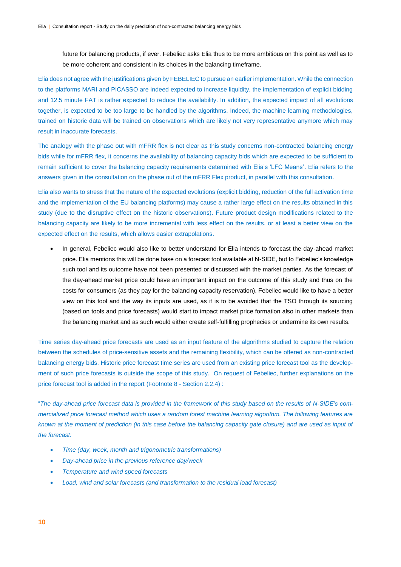future for balancing products, if ever. Febeliec asks Elia thus to be more ambitious on this point as well as to be more coherent and consistent in its choices in the balancing timeframe.

Elia does not agree with the justifications given by FEBELIEC to pursue an earlier implementation. While the connection to the platforms MARI and PICASSO are indeed expected to increase liquidity, the implementation of explicit bidding and 12.5 minute FAT is rather expected to reduce the availability. In addition, the expected impact of all evolutions together, is expected to be too large to be handled by the algorithms. Indeed, the machine learning methodologies, trained on historic data will be trained on observations which are likely not very representative anymore which may result in inaccurate forecasts.

The analogy with the phase out with mFRR flex is not clear as this study concerns non-contracted balancing energy bids while for mFRR flex, it concerns the availability of balancing capacity bids which are expected to be sufficient to remain sufficient to cover the balancing capacity requirements determined with Elia's 'LFC Means'. Elia refers to the answers given in the consultation on the phase out of the mFRR Flex product, in parallel with this consultation.

Elia also wants to stress that the nature of the expected evolutions (explicit bidding, reduction of the full activation time and the implementation of the EU balancing platforms) may cause a rather large effect on the results obtained in this study (due to the disruptive effect on the historic observations). Future product design modifications related to the balancing capacity are likely to be more incremental with less effect on the results, or at least a better view on the expected effect on the results, which allows easier extrapolations.

 In general, Febeliec would also like to better understand for Elia intends to forecast the day-ahead market price. Elia mentions this will be done base on a forecast tool available at N-SIDE, but to Febeliec's knowledge such tool and its outcome have not been presented or discussed with the market parties. As the forecast of the day-ahead market price could have an important impact on the outcome of this study and thus on the costs for consumers (as they pay for the balancing capacity reservation), Febeliec would like to have a better view on this tool and the way its inputs are used, as it is to be avoided that the TSO through its sourcing (based on tools and price forecasts) would start to impact market price formation also in other markets than the balancing market and as such would either create self-fulfilling prophecies or undermine its own results.

Time series day-ahead price forecasts are used as an input feature of the algorithms studied to capture the relation between the schedules of price-sensitive assets and the remaining flexibility, which can be offered as non-contracted balancing energy bids. Historic price forecast time series are used from an existing price forecast tool as the development of such price forecasts is outside the scope of this study. On request of Febeliec, further explanations on the price forecast tool is added in the report (Footnote 8 - Section 2.2.4) :

"*The day-ahead price forecast data is provided in the framework of this study based on the results of N-SIDE's commercialized price forecast method which uses a random forest machine learning algorithm. The following features are*  known at the moment of prediction (in this case before the balancing capacity gate closure) and are used as input of *the forecast:*

- *Time (day, week, month and trigonometric transformations)*
- *Day-ahead price in the previous reference day/week*
- *Temperature and wind speed forecasts*
- *Load, wind and solar forecasts (and transformation to the residual load forecast)*